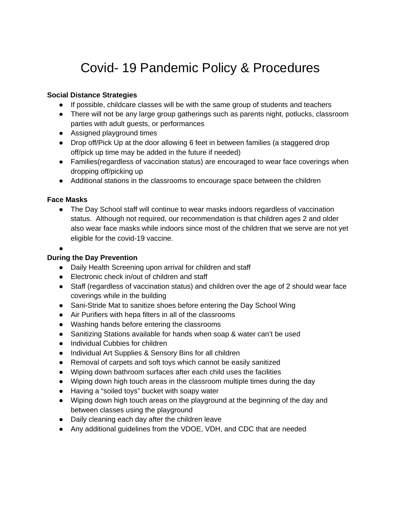# Covid- 19 Pandemic Policy & Procedures

## **Social Distance Strategies**

- If possible, childcare classes will be with the same group of students and teachers
- There will not be any large group gatherings such as parents night, potlucks, classroom parties with adult guests, or performances
- Assigned playground times
- Drop off/Pick Up at the door allowing 6 feet in between families (a staggered drop off/pick up time may be added in the future if needed)
- Families (regardless of vaccination status) are encouraged to wear face coverings when dropping off/picking up
- Additional stations in the classrooms to encourage space between the children

#### **Face Masks**

• The Day School staff will continue to wear masks indoors regardless of vaccination status. Although not required, our recommendation is that children ages 2 and older also wear face masks while indoors since most of the children that we serve are not yet eligible for the covid-19 vaccine.

#### ●

#### **During the Day Prevention**

- Daily Health Screening upon arrival for children and staff
- Electronic check in/out of children and staff
- Staff (regardless of vaccination status) and children over the age of 2 should wear face coverings while in the building
- Sani-Stride Mat to sanitize shoes before entering the Day School Wing
- Air Purifiers with hepa filters in all of the classrooms
- Washing hands before entering the classrooms
- Sanitizing Stations available for hands when soap & water can't be used
- Individual Cubbies for children
- Individual Art Supplies & Sensory Bins for all children
- Removal of carpets and soft toys which cannot be easily sanitized
- Wiping down bathroom surfaces after each child uses the facilities
- Wiping down high touch areas in the classroom multiple times during the day
- Having a "soiled toys" bucket with soapy water
- Wiping down high touch areas on the playground at the beginning of the day and between classes using the playground
- Daily cleaning each day after the children leave
- Any additional guidelines from the VDOE, VDH, and CDC that are needed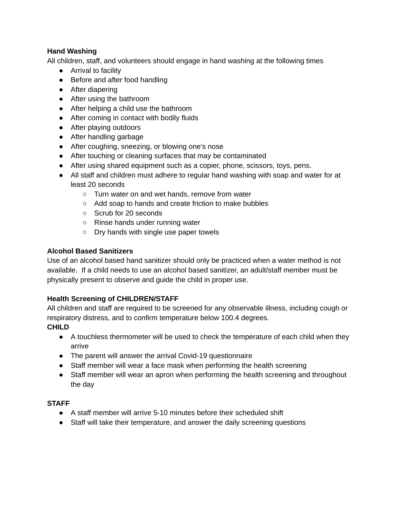# **Hand Washing**

All children, staff, and volunteers should engage in hand washing at the following times

- Arrival to facility
- Before and after food handling
- After diapering
- After using the bathroom
- After helping a child use the bathroom
- After coming in contact with bodily fluids
- After playing outdoors
- After handling garbage
- After coughing, sneezing, or blowing one's nose
- After touching or cleaning surfaces that may be contaminated
- After using shared equipment such as a copier, phone, scissors, toys, pens.
- All staff and children must adhere to regular hand washing with soap and water for at least 20 seconds
	- Turn water on and wet hands, remove from water
	- Add soap to hands and create friction to make bubbles
	- Scrub for 20 seconds
	- Rinse hands under running water
	- Dry hands with single use paper towels

# **Alcohol Based Sanitizers**

Use of an alcohol based hand sanitizer should only be practiced when a water method is not available. If a child needs to use an alcohol based sanitizer, an adult/staff member must be physically present to observe and guide the child in proper use.

# **Health Screening of CHILDREN/STAFF**

All children and staff are required to be screened for any observable illness, including cough or respiratory distress, and to confirm temperature below 100.4 degrees.

# **CHILD**

- A touchless thermometer will be used to check the temperature of each child when they arrive
- The parent will answer the arrival Covid-19 questionnaire
- Staff member will wear a face mask when performing the health screening
- Staff member will wear an apron when performing the health screening and throughout the day

# **STAFF**

- A staff member will arrive 5-10 minutes before their scheduled shift
- Staff will take their temperature, and answer the daily screening questions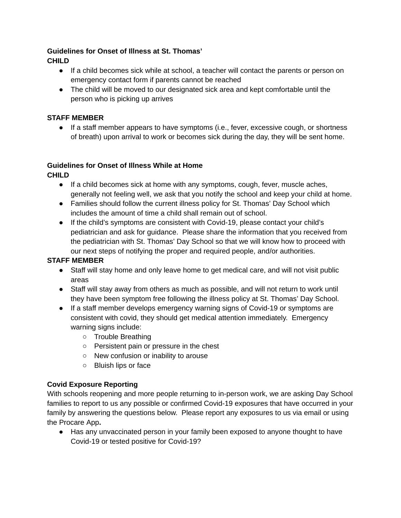# **Guidelines for Onset of Illness at St. Thomas'**

**CHILD**

- If a child becomes sick while at school, a teacher will contact the parents or person on emergency contact form if parents cannot be reached
- The child will be moved to our designated sick area and kept comfortable until the person who is picking up arrives

# **STAFF MEMBER**

● If a staff member appears to have symptoms (i.e., fever, excessive cough, or shortness of breath) upon arrival to work or becomes sick during the day, they will be sent home.

#### **Guidelines for Onset of Illness While at Home**

**CHILD**

- If a child becomes sick at home with any symptoms, cough, fever, muscle aches, generally not feeling well, we ask that you notify the school and keep your child at home.
- Families should follow the current illness policy for St. Thomas' Day School which includes the amount of time a child shall remain out of school.
- If the child's symptoms are consistent with Covid-19, please contact your child's pediatrician and ask for guidance. Please share the information that you received from the pediatrician with St. Thomas' Day School so that we will know how to proceed with our next steps of notifying the proper and required people, and/or authorities.

# **STAFF MEMBER**

- Staff will stay home and only leave home to get medical care, and will not visit public areas
- Staff will stay away from others as much as possible, and will not return to work until they have been symptom free following the illness policy at St. Thomas' Day School.
- If a staff member develops emergency warning signs of Covid-19 or symptoms are consistent with covid, they should get medical attention immediately. Emergency warning signs include:
	- Trouble Breathing
	- Persistent pain or pressure in the chest
	- New confusion or inability to arouse
	- Bluish lips or face

# **Covid Exposure Reporting**

With schools reopening and more people returning to in-person work, we are asking Day School families to report to us any possible or confirmed Covid-19 exposures that have occurred in your family by answering the questions below. Please report any exposures to us via email or using the Procare App**.**

● Has any unvaccinated person in your family been exposed to anyone thought to have Covid-19 or tested positive for Covid-19?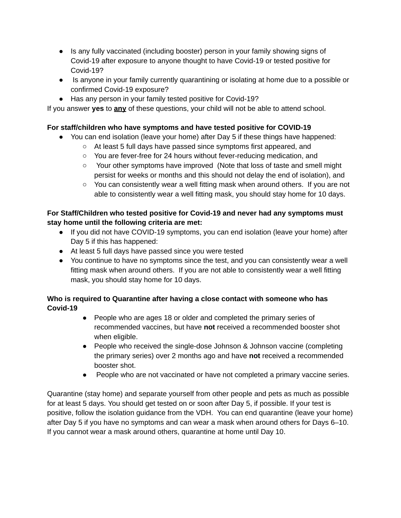- Is any fully vaccinated (including booster) person in your family showing signs of Covid-19 after exposure to anyone thought to have Covid-19 or tested positive for Covid-19?
- Is anyone in your family currently quarantining or isolating at home due to a possible or confirmed Covid-19 exposure?
- Has any person in your family tested positive for Covid-19?

If you answer **yes** to **any** of these questions, your child will not be able to attend school.

# **For staff/children who have symptoms and have tested positive for COVID-19**

- You can end isolation (leave your home) after Day 5 if these things have happened:
	- At least 5 full days have passed since symptoms first appeared, and
	- You are fever-free for 24 hours without fever-reducing medication, and
	- Your other symptoms have improved (Note that loss of taste and smell might persist for weeks or months and this should not delay the end of isolation), and
	- You can consistently wear a well fitting mask when around others. If you are not able to consistently wear a well fitting mask, you should stay home for 10 days.

# **For Staff/Children who tested positive for Covid-19 and never had any symptoms must stay home until the following criteria are met:**

- If you did not have COVID-19 symptoms, you can end isolation (leave your home) after Day 5 if this has happened:
- At least 5 full days have passed since you were tested
- You continue to have no symptoms since the test, and you can consistently wear a well fitting mask when around others. If you are not able to consistently wear a well fitting mask, you should stay home for 10 days.

# **Who is required to Quarantine after having a close contact with someone who has Covid-19**

- People who are ages 18 or older and completed the primary series of recommended vaccines, but have **not** received a recommended booster shot when eligible.
- People who received the single-dose Johnson & Johnson vaccine (completing the primary series) over 2 months ago and have **not** received a recommended booster shot.
- People who are not vaccinated or have not completed a primary vaccine series.

Quarantine (stay home) and separate yourself from other people and pets as much as possible for at least 5 days. You should get tested on or soon after Day 5, if possible. If your test is positive, follow the isolation guidance from the VDH. You can end quarantine (leave your home) after Day 5 if you have no symptoms and can wear a mask when around others for Days 6–10. If you cannot wear a mask around others, quarantine at home until Day 10.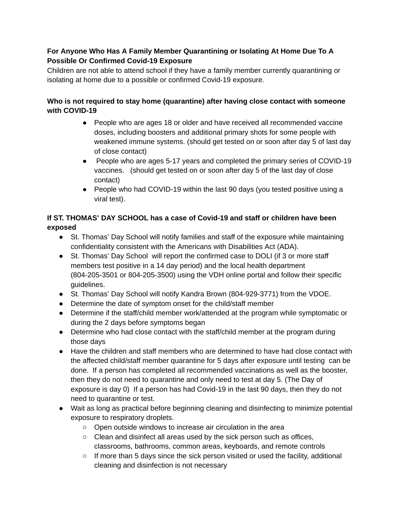# **For Anyone Who Has A Family Member Quarantining or Isolating At Home Due To A Possible Or Confirmed Covid-19 Exposure**

Children are not able to attend school if they have a family member currently quarantining or isolating at home due to a possible or confirmed Covid-19 exposure.

# **Who is not required to stay home (quarantine) after having close contact with someone with COVID-19**

- People who are ages 18 or older and have received all recommended vaccine doses, including boosters and additional primary shots for some people with weakened immune systems. (should get tested on or soon after day 5 of last day of close contact)
- People who are ages 5-17 years and completed the primary series of COVID-19 vaccines. (should get tested on or soon after day 5 of the last day of close contact)
- People who had COVID-19 within the last 90 days (you tested positive using a viral test).

# **If ST. THOMAS' DAY SCHOOL has a case of Covid-19 and staff or children have been exposed**

- St. Thomas' Day School will notify families and staff of the exposure while maintaining confidentiality consistent with the Americans with Disabilities Act (ADA).
- St. Thomas' Day School will report the confirmed case to DOLI (if 3 or more staff members test positive in a 14 day period) and the local health department (804-205-3501 or 804-205-3500) using the VDH online portal and follow their specific guidelines.
- St. Thomas' Day School will notify Kandra Brown (804-929-3771) from the VDOE.
- Determine the date of symptom onset for the child/staff member
- Determine if the staff/child member work/attended at the program while symptomatic or during the 2 days before symptoms began
- Determine who had close contact with the staff/child member at the program during those days
- Have the children and staff members who are determined to have had close contact with the affected child/staff member quarantine for 5 days after exposure until testing can be done. If a person has completed all recommended vaccinations as well as the booster, then they do not need to quarantine and only need to test at day 5. (The Day of exposure is day 0) If a person has had Covid-19 in the last 90 days, then they do not need to quarantine or test.
- Wait as long as practical before beginning cleaning and disinfecting to minimize potential exposure to respiratory droplets.
	- Open outside windows to increase air circulation in the area
	- Clean and disinfect all areas used by the sick person such as offices, classrooms, bathrooms, common areas, keyboards, and remote controls
	- $\circ$  If more than 5 days since the sick person visited or used the facility, additional cleaning and disinfection is not necessary